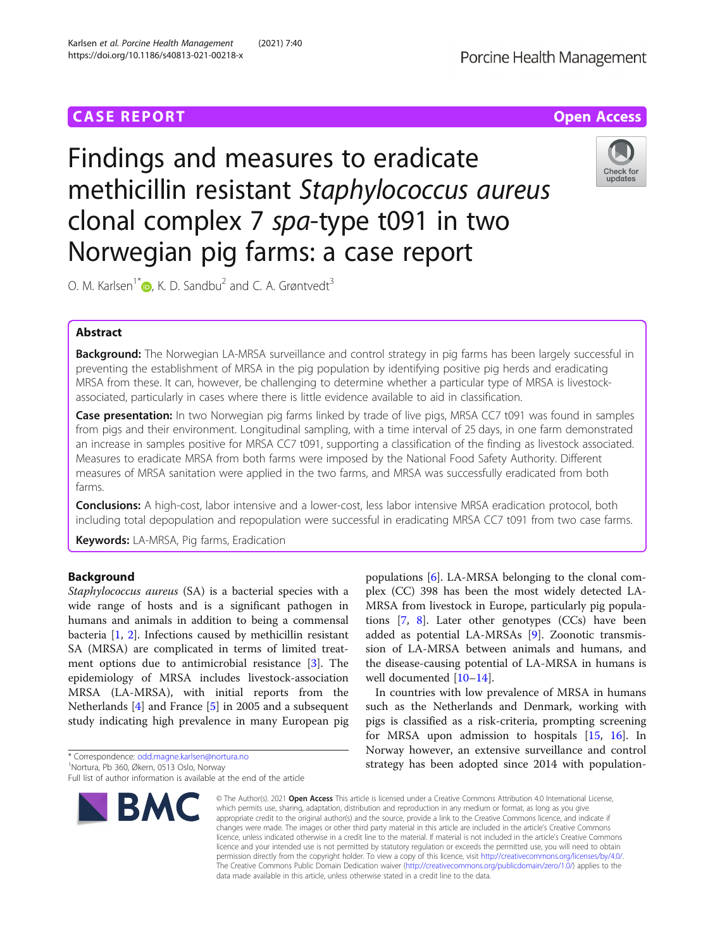# **CASE REPORT CASE ACCESS**

# Findings and measures to eradicate methicillin resistant Staphylococcus aureus clonal complex 7 spa-type t091 in two Norwegian pig farms: a case report

O. M. Karlsen<sup>1\*</sup> $\bullet$ , K. D. Sandbu<sup>2</sup> and C. A. Grøntvedt<sup>3</sup>

# Abstract

Background: The Norwegian LA-MRSA surveillance and control strategy in pig farms has been largely successful in preventing the establishment of MRSA in the pig population by identifying positive pig herds and eradicating MRSA from these. It can, however, be challenging to determine whether a particular type of MRSA is livestockassociated, particularly in cases where there is little evidence available to aid in classification.

Case presentation: In two Norwegian pig farms linked by trade of live pigs, MRSA CC7 t091 was found in samples from pigs and their environment. Longitudinal sampling, with a time interval of 25 days, in one farm demonstrated an increase in samples positive for MRSA CC7 t091, supporting a classification of the finding as livestock associated. Measures to eradicate MRSA from both farms were imposed by the National Food Safety Authority. Different measures of MRSA sanitation were applied in the two farms, and MRSA was successfully eradicated from both farms.

**Conclusions:** A high-cost, labor intensive and a lower-cost, less labor intensive MRSA eradication protocol, both including total depopulation and repopulation were successful in eradicating MRSA CC7 t091 from two case farms.

Keywords: LA-MRSA, Pig farms, Eradication

# Background

Staphylococcus aureus (SA) is a bacterial species with a wide range of hosts and is a significant pathogen in humans and animals in addition to being a commensal bacteria [[1,](#page-5-0) [2](#page-5-0)]. Infections caused by methicillin resistant SA (MRSA) are complicated in terms of limited treatment options due to antimicrobial resistance [\[3\]](#page-5-0). The epidemiology of MRSA includes livestock-association MRSA (LA-MRSA), with initial reports from the Netherlands [[4](#page-5-0)] and France [[5\]](#page-5-0) in 2005 and a subsequent study indicating high prevalence in many European pig

\* Correspondence: [odd.magne.karlsen@nortura.no](mailto:odd.magne.karlsen@nortura.no) <sup>1</sup>

**BMC** 

#### © The Author(s), 2021 **Open Access** This article is licensed under a Creative Commons Attribution 4.0 International License, which permits use, sharing, adaptation, distribution and reproduction in any medium or format, as long as you give appropriate credit to the original author(s) and the source, provide a link to the Creative Commons licence, and indicate if changes were made. The images or other third party material in this article are included in the article's Creative Commons licence, unless indicated otherwise in a credit line to the material. If material is not included in the article's Creative Commons licence and your intended use is not permitted by statutory regulation or exceeds the permitted use, you will need to obtain permission directly from the copyright holder. To view a copy of this licence, visit [http://creativecommons.org/licenses/by/4.0/.](http://creativecommons.org/licenses/by/4.0/) The Creative Commons Public Domain Dedication waiver [\(http://creativecommons.org/publicdomain/zero/1.0/](http://creativecommons.org/publicdomain/zero/1.0/)) applies to the data made available in this article, unless otherwise stated in a credit line to the data.

populations [[6\]](#page-5-0). LA-MRSA belonging to the clonal complex (CC) 398 has been the most widely detected LA-MRSA from livestock in Europe, particularly pig populations [\[7,](#page-5-0) [8](#page-5-0)]. Later other genotypes (CCs) have been added as potential LA-MRSAs [[9\]](#page-5-0). Zoonotic transmission of LA-MRSA between animals and humans, and the disease-causing potential of LA-MRSA in humans is well documented [[10](#page-5-0)–[14\]](#page-5-0).

In countries with low prevalence of MRSA in humans such as the Netherlands and Denmark, working with pigs is classified as a risk-criteria, prompting screening for MRSA upon admission to hospitals [\[15](#page-5-0), [16](#page-5-0)]. In Norway however, an extensive surveillance and control strategy has been adopted since 2014 with population-



Nortura, Pb 360, Økern, 0513 Oslo, Norway

Full list of author information is available at the end of the article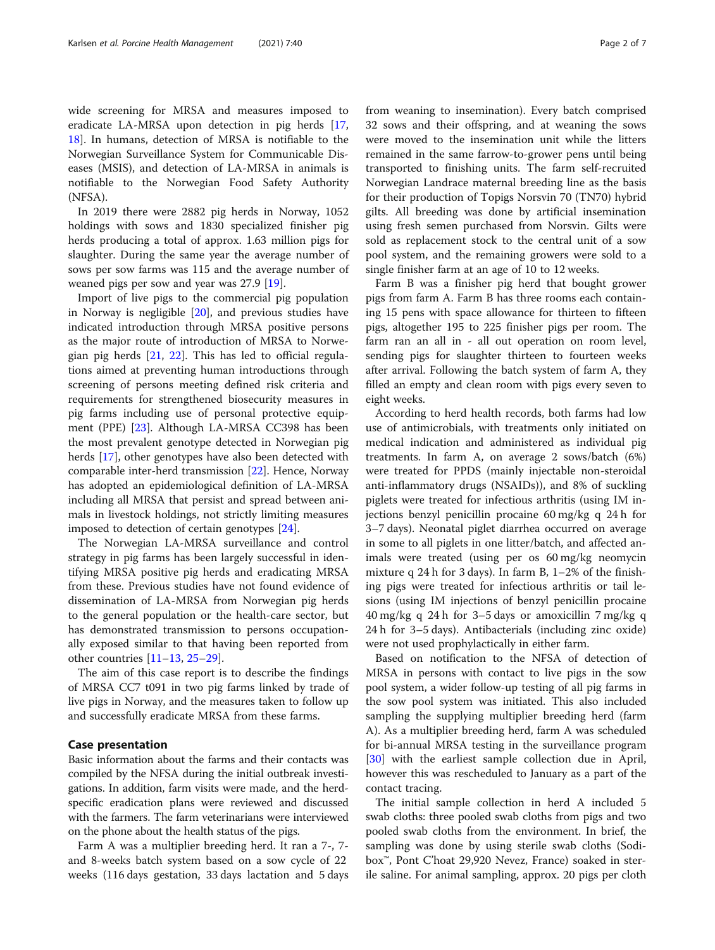wide screening for MRSA and measures imposed to eradicate LA-MRSA upon detection in pig herds [[17](#page-5-0), [18\]](#page-5-0). In humans, detection of MRSA is notifiable to the Norwegian Surveillance System for Communicable Diseases (MSIS), and detection of LA-MRSA in animals is notifiable to the Norwegian Food Safety Authority (NFSA).

In 2019 there were 2882 pig herds in Norway, 1052 holdings with sows and 1830 specialized finisher pig herds producing a total of approx. 1.63 million pigs for slaughter. During the same year the average number of sows per sow farms was 115 and the average number of weaned pigs per sow and year was 27.9 [\[19](#page-5-0)].

Import of live pigs to the commercial pig population in Norway is negligible [\[20\]](#page-5-0), and previous studies have indicated introduction through MRSA positive persons as the major route of introduction of MRSA to Norwegian pig herds [[21,](#page-5-0) [22](#page-5-0)]. This has led to official regulations aimed at preventing human introductions through screening of persons meeting defined risk criteria and requirements for strengthened biosecurity measures in pig farms including use of personal protective equipment (PPE) [\[23](#page-5-0)]. Although LA-MRSA CC398 has been the most prevalent genotype detected in Norwegian pig herds [\[17](#page-5-0)], other genotypes have also been detected with comparable inter-herd transmission [\[22](#page-5-0)]. Hence, Norway has adopted an epidemiological definition of LA-MRSA including all MRSA that persist and spread between animals in livestock holdings, not strictly limiting measures imposed to detection of certain genotypes [[24\]](#page-5-0).

The Norwegian LA-MRSA surveillance and control strategy in pig farms has been largely successful in identifying MRSA positive pig herds and eradicating MRSA from these. Previous studies have not found evidence of dissemination of LA-MRSA from Norwegian pig herds to the general population or the health-care sector, but has demonstrated transmission to persons occupationally exposed similar to that having been reported from other countries [\[11](#page-5-0)–[13,](#page-5-0) [25](#page-5-0)–[29](#page-5-0)].

The aim of this case report is to describe the findings of MRSA CC7 t091 in two pig farms linked by trade of live pigs in Norway, and the measures taken to follow up and successfully eradicate MRSA from these farms.

## Case presentation

Basic information about the farms and their contacts was compiled by the NFSA during the initial outbreak investigations. In addition, farm visits were made, and the herdspecific eradication plans were reviewed and discussed with the farmers. The farm veterinarians were interviewed on the phone about the health status of the pigs.

Farm A was a multiplier breeding herd. It ran a 7-, 7 and 8-weeks batch system based on a sow cycle of 22 weeks (116 days gestation, 33 days lactation and 5 days

from weaning to insemination). Every batch comprised 32 sows and their offspring, and at weaning the sows were moved to the insemination unit while the litters remained in the same farrow-to-grower pens until being transported to finishing units. The farm self-recruited Norwegian Landrace maternal breeding line as the basis for their production of Topigs Norsvin 70 (TN70) hybrid gilts. All breeding was done by artificial insemination using fresh semen purchased from Norsvin. Gilts were sold as replacement stock to the central unit of a sow pool system, and the remaining growers were sold to a single finisher farm at an age of 10 to 12 weeks.

Farm B was a finisher pig herd that bought grower pigs from farm A. Farm B has three rooms each containing 15 pens with space allowance for thirteen to fifteen pigs, altogether 195 to 225 finisher pigs per room. The farm ran an all in - all out operation on room level, sending pigs for slaughter thirteen to fourteen weeks after arrival. Following the batch system of farm A, they filled an empty and clean room with pigs every seven to eight weeks.

According to herd health records, both farms had low use of antimicrobials, with treatments only initiated on medical indication and administered as individual pig treatments. In farm A, on average 2 sows/batch (6%) were treated for PPDS (mainly injectable non-steroidal anti-inflammatory drugs (NSAIDs)), and 8% of suckling piglets were treated for infectious arthritis (using IM injections benzyl penicillin procaine 60 mg/kg q 24 h for 3–7 days). Neonatal piglet diarrhea occurred on average in some to all piglets in one litter/batch, and affected animals were treated (using per os 60 mg/kg neomycin mixture q 24 h for 3 days). In farm B, 1–2% of the finishing pigs were treated for infectious arthritis or tail lesions (using IM injections of benzyl penicillin procaine 40 mg/kg q 24 h for 3–5 days or amoxicillin 7 mg/kg q 24 h for 3–5 days). Antibacterials (including zinc oxide) were not used prophylactically in either farm.

Based on notification to the NFSA of detection of MRSA in persons with contact to live pigs in the sow pool system, a wider follow-up testing of all pig farms in the sow pool system was initiated. This also included sampling the supplying multiplier breeding herd (farm A). As a multiplier breeding herd, farm A was scheduled for bi-annual MRSA testing in the surveillance program [[30\]](#page-5-0) with the earliest sample collection due in April, however this was rescheduled to January as a part of the contact tracing.

The initial sample collection in herd A included 5 swab cloths: three pooled swab cloths from pigs and two pooled swab cloths from the environment. In brief, the sampling was done by using sterile swab cloths (Sodibox™, Pont C'hoat 29,920 Nevez, France) soaked in sterile saline. For animal sampling, approx. 20 pigs per cloth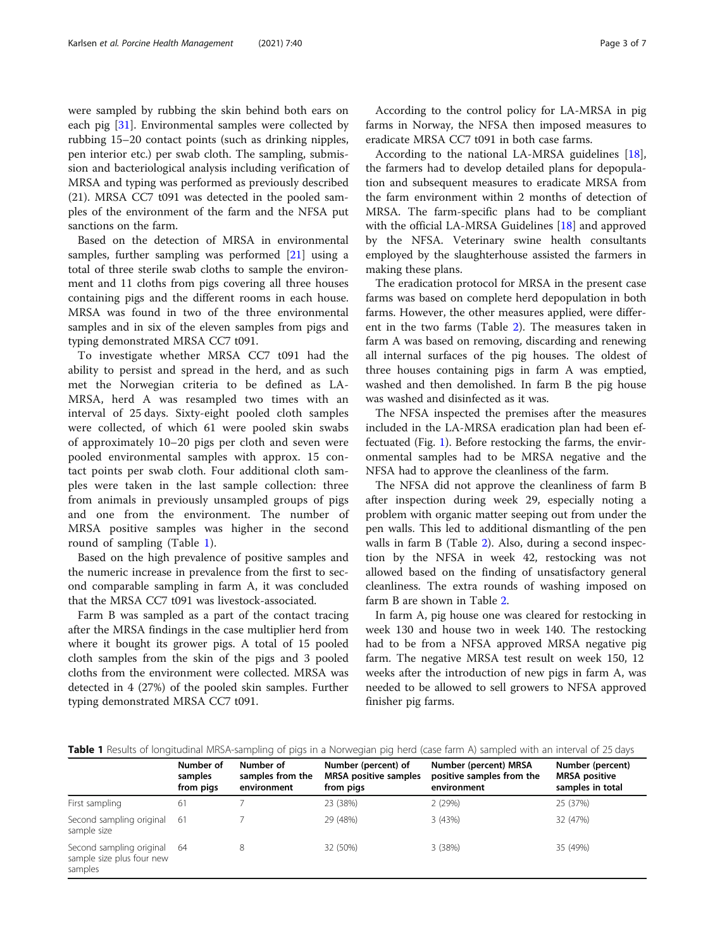were sampled by rubbing the skin behind both ears on each pig [[31](#page-6-0)]. Environmental samples were collected by rubbing 15–20 contact points (such as drinking nipples, pen interior etc.) per swab cloth. The sampling, submission and bacteriological analysis including verification of MRSA and typing was performed as previously described (21). MRSA CC7 t091 was detected in the pooled samples of the environment of the farm and the NFSA put sanctions on the farm.

Based on the detection of MRSA in environmental samples, further sampling was performed [[21](#page-5-0)] using a total of three sterile swab cloths to sample the environment and 11 cloths from pigs covering all three houses containing pigs and the different rooms in each house. MRSA was found in two of the three environmental samples and in six of the eleven samples from pigs and typing demonstrated MRSA CC7 t091.

To investigate whether MRSA CC7 t091 had the ability to persist and spread in the herd, and as such met the Norwegian criteria to be defined as LA-MRSA, herd A was resampled two times with an interval of 25 days. Sixty-eight pooled cloth samples were collected, of which 61 were pooled skin swabs of approximately 10–20 pigs per cloth and seven were pooled environmental samples with approx. 15 contact points per swab cloth. Four additional cloth samples were taken in the last sample collection: three from animals in previously unsampled groups of pigs and one from the environment. The number of MRSA positive samples was higher in the second round of sampling (Table 1).

Based on the high prevalence of positive samples and the numeric increase in prevalence from the first to second comparable sampling in farm A, it was concluded that the MRSA CC7 t091 was livestock-associated.

Farm B was sampled as a part of the contact tracing after the MRSA findings in the case multiplier herd from where it bought its grower pigs. A total of 15 pooled cloth samples from the skin of the pigs and 3 pooled cloths from the environment were collected. MRSA was detected in 4 (27%) of the pooled skin samples. Further typing demonstrated MRSA CC7 t091.

According to the control policy for LA-MRSA in pig farms in Norway, the NFSA then imposed measures to eradicate MRSA CC7 t091 in both case farms.

According to the national LA-MRSA guidelines [\[18](#page-5-0)], the farmers had to develop detailed plans for depopulation and subsequent measures to eradicate MRSA from the farm environment within 2 months of detection of MRSA. The farm-specific plans had to be compliant with the official LA-MRSA Guidelines [\[18\]](#page-5-0) and approved by the NFSA. Veterinary swine health consultants employed by the slaughterhouse assisted the farmers in making these plans.

The eradication protocol for MRSA in the present case farms was based on complete herd depopulation in both farms. However, the other measures applied, were different in the two farms (Table [2](#page-3-0)). The measures taken in farm A was based on removing, discarding and renewing all internal surfaces of the pig houses. The oldest of three houses containing pigs in farm A was emptied, washed and then demolished. In farm B the pig house was washed and disinfected as it was.

The NFSA inspected the premises after the measures included in the LA-MRSA eradication plan had been effectuated (Fig. [1\)](#page-3-0). Before restocking the farms, the environmental samples had to be MRSA negative and the NFSA had to approve the cleanliness of the farm.

The NFSA did not approve the cleanliness of farm B after inspection during week 29, especially noting a problem with organic matter seeping out from under the pen walls. This led to additional dismantling of the pen walls in farm B (Table [2](#page-3-0)). Also, during a second inspection by the NFSA in week 42, restocking was not allowed based on the finding of unsatisfactory general cleanliness. The extra rounds of washing imposed on farm B are shown in Table [2](#page-3-0).

In farm A, pig house one was cleared for restocking in week 130 and house two in week 140. The restocking had to be from a NFSA approved MRSA negative pig farm. The negative MRSA test result on week 150, 12 weeks after the introduction of new pigs in farm A, was needed to be allowed to sell growers to NFSA approved finisher pig farms.

Table 1 Results of longitudinal MRSA-sampling of pigs in a Norwegian pig herd (case farm A) sampled with an interval of 25 days

|                                                                     | Number of<br>samples<br>from pigs | Number of<br>samples from the<br>environment | Number (percent) of<br><b>MRSA</b> positive samples<br>from pigs | Number (percent) MRSA<br>positive samples from the<br>environment | Number (percent)<br><b>MRSA</b> positive<br>samples in total |
|---------------------------------------------------------------------|-----------------------------------|----------------------------------------------|------------------------------------------------------------------|-------------------------------------------------------------------|--------------------------------------------------------------|
| First sampling                                                      | 61                                |                                              | 23 (38%)                                                         | 2(29%)                                                            | 25 (37%)                                                     |
| Second sampling original<br>sample size                             | -61                               |                                              | 29 (48%)                                                         | 3(43%)                                                            | 32 (47%)                                                     |
| Second sampling original 64<br>sample size plus four new<br>samples |                                   | 8                                            | 32 (50%)                                                         | 3(38%)                                                            | 35 (49%)                                                     |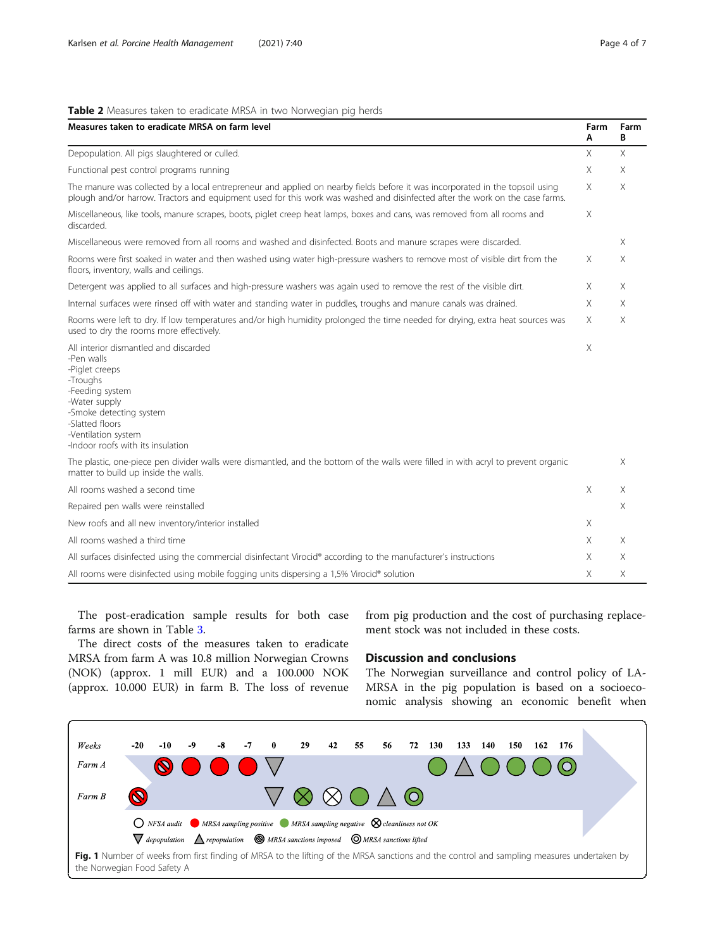### <span id="page-3-0"></span>Table 2 Measures taken to eradicate MRSA in two Norwegian pig herds

| Measures taken to eradicate MRSA on farm level                                                                                                                                                                                                                | Farm<br>Α | Farm<br>В |  |  |
|---------------------------------------------------------------------------------------------------------------------------------------------------------------------------------------------------------------------------------------------------------------|-----------|-----------|--|--|
| Depopulation. All pigs slaughtered or culled.                                                                                                                                                                                                                 |           |           |  |  |
| Functional pest control programs running                                                                                                                                                                                                                      | Χ         | Χ         |  |  |
| The manure was collected by a local entrepreneur and applied on nearby fields before it was incorporated in the topsoil using<br>plough and/or harrow. Tractors and equipment used for this work was washed and disinfected after the work on the case farms. |           |           |  |  |
| Miscellaneous, like tools, manure scrapes, boots, piglet creep heat lamps, boxes and cans, was removed from all rooms and<br>discarded.                                                                                                                       | $\times$  |           |  |  |
| Miscellaneous were removed from all rooms and washed and disinfected. Boots and manure scrapes were discarded.                                                                                                                                                |           | X         |  |  |
| Rooms were first soaked in water and then washed using water high-pressure washers to remove most of visible dirt from the<br>floors, inventory, walls and ceilings.                                                                                          | $\times$  | X         |  |  |
| Detergent was applied to all surfaces and high-pressure washers was again used to remove the rest of the visible dirt.                                                                                                                                        | X         | X         |  |  |
| Internal surfaces were rinsed off with water and standing water in puddles, troughs and manure canals was drained.                                                                                                                                            | X         | $\times$  |  |  |
| Rooms were left to dry. If low temperatures and/or high humidity prolonged the time needed for drying, extra heat sources was<br>used to dry the rooms more effectively.                                                                                      | X         | X         |  |  |
| All interior dismantled and discarded<br>-Pen walls<br>-Piglet creeps<br>-Troughs<br>-Feeding system<br>-Water supply<br>-Smoke detecting system<br>-Slatted floors<br>-Ventilation system<br>-Indoor roofs with its insulation                               | $\times$  |           |  |  |
| The plastic, one-piece pen divider walls were dismantled, and the bottom of the walls were filled in with acryl to prevent organic<br>matter to build up inside the walls.                                                                                    |           | $\times$  |  |  |
| All rooms washed a second time                                                                                                                                                                                                                                | X         | X         |  |  |
| Repaired pen walls were reinstalled                                                                                                                                                                                                                           |           | X         |  |  |
| New roofs and all new inventory/interior installed                                                                                                                                                                                                            | X         |           |  |  |
| All rooms washed a third time                                                                                                                                                                                                                                 | Χ         | X         |  |  |
| All surfaces disinfected using the commercial disinfectant Virocid® according to the manufacturer's instructions                                                                                                                                              | X.        | X         |  |  |
| All rooms were disinfected using mobile fogging units dispersing a 1,5% Virocid® solution                                                                                                                                                                     |           |           |  |  |

The post-eradication sample results for both case farms are shown in Table [3](#page-4-0).

from pig production and the cost of purchasing replacement stock was not included in these costs.

The direct costs of the measures taken to eradicate MRSA from farm A was 10.8 million Norwegian Crowns (NOK) (approx. 1 mill EUR) and a 100.000 NOK (approx. 10.000 EUR) in farm B. The loss of revenue

## Discussion and conclusions

The Norwegian surveillance and control policy of LA-MRSA in the pig population is based on a socioeconomic analysis showing an economic benefit when

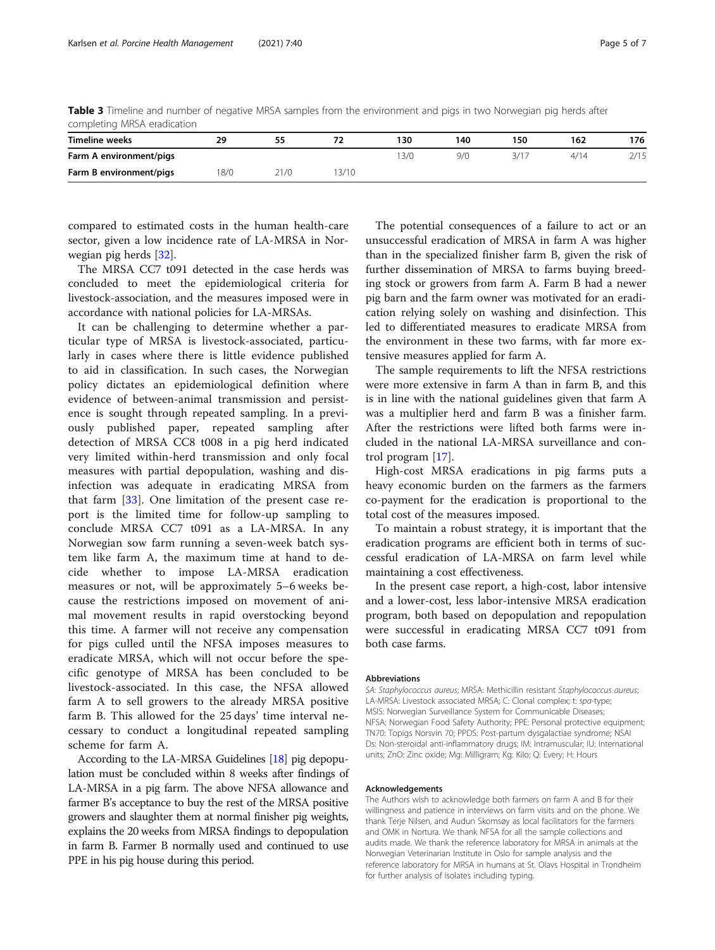<span id="page-4-0"></span>Table 3 Timeline and number of negative MRSA samples from the environment and pigs in two Norwegian pig herds after completing MRSA eradication

| <b>Timeline weeks</b>   | 29  | 55   |      | 130 | 140 | 150  | 162  | 176  |  |  |  |
|-------------------------|-----|------|------|-----|-----|------|------|------|--|--|--|
| Farm A environment/pigs |     |      |      | 3/0 | 9/0 | 3/17 | 4/14 | 2/15 |  |  |  |
| Farm B environment/pigs | 8/0 | 21/0 | 3/10 |     |     |      |      |      |  |  |  |

compared to estimated costs in the human health-care sector, given a low incidence rate of LA-MRSA in Norwegian pig herds [[32\]](#page-6-0).

The MRSA CC7 t091 detected in the case herds was concluded to meet the epidemiological criteria for livestock-association, and the measures imposed were in accordance with national policies for LA-MRSAs.

It can be challenging to determine whether a particular type of MRSA is livestock-associated, particularly in cases where there is little evidence published to aid in classification. In such cases, the Norwegian policy dictates an epidemiological definition where evidence of between-animal transmission and persistence is sought through repeated sampling. In a previously published paper, repeated sampling after detection of MRSA CC8 t008 in a pig herd indicated very limited within-herd transmission and only focal measures with partial depopulation, washing and disinfection was adequate in eradicating MRSA from that farm [[33\]](#page-6-0). One limitation of the present case report is the limited time for follow-up sampling to conclude MRSA CC7 t091 as a LA-MRSA. In any Norwegian sow farm running a seven-week batch system like farm A, the maximum time at hand to decide whether to impose LA-MRSA eradication measures or not, will be approximately 5–6 weeks because the restrictions imposed on movement of animal movement results in rapid overstocking beyond this time. A farmer will not receive any compensation for pigs culled until the NFSA imposes measures to eradicate MRSA, which will not occur before the specific genotype of MRSA has been concluded to be livestock-associated. In this case, the NFSA allowed farm A to sell growers to the already MRSA positive farm B. This allowed for the 25 days' time interval necessary to conduct a longitudinal repeated sampling scheme for farm A.

According to the LA-MRSA Guidelines [\[18\]](#page-5-0) pig depopulation must be concluded within 8 weeks after findings of LA-MRSA in a pig farm. The above NFSA allowance and farmer B's acceptance to buy the rest of the MRSA positive growers and slaughter them at normal finisher pig weights, explains the 20 weeks from MRSA findings to depopulation in farm B. Farmer B normally used and continued to use PPE in his pig house during this period.

The potential consequences of a failure to act or an unsuccessful eradication of MRSA in farm A was higher than in the specialized finisher farm B, given the risk of further dissemination of MRSA to farms buying breeding stock or growers from farm A. Farm B had a newer pig barn and the farm owner was motivated for an eradication relying solely on washing and disinfection. This led to differentiated measures to eradicate MRSA from the environment in these two farms, with far more extensive measures applied for farm A.

The sample requirements to lift the NFSA restrictions were more extensive in farm A than in farm B, and this is in line with the national guidelines given that farm A was a multiplier herd and farm B was a finisher farm. After the restrictions were lifted both farms were included in the national LA-MRSA surveillance and control program [\[17](#page-5-0)].

High-cost MRSA eradications in pig farms puts a heavy economic burden on the farmers as the farmers co-payment for the eradication is proportional to the total cost of the measures imposed.

To maintain a robust strategy, it is important that the eradication programs are efficient both in terms of successful eradication of LA-MRSA on farm level while maintaining a cost effectiveness.

In the present case report, a high-cost, labor intensive and a lower-cost, less labor-intensive MRSA eradication program, both based on depopulation and repopulation were successful in eradicating MRSA CC7 t091 from both case farms.

#### **Abbreviations**

SA: Staphylococcus aureus; MRSA: Methicillin resistant Staphylococcus aureus; LA-MRSA: Livestock associated MRSA; C: Clonal complex; t: spa-type; MSIS: Norwegian Surveillance System for Communicable Diseases; NFSA: Norwegian Food Safety Authority; PPE: Personal protective equipment; TN70: Topigs Norsvin 70; PPDS: Post-partum dysgalactiae syndrome; NSAI Ds: Non-steroidal anti-inflammatory drugs; IM: Intramuscular; IU: International units; ZnO: Zinc oxide; Mg: Milligram; Kg: Kilo; Q: Every; H: Hours

#### Acknowledgements

The Authors wish to acknowledge both farmers on farm A and B for their willingness and patience in interviews on farm visits and on the phone. We thank Terje Nilsen, and Audun Skomsøy as local facilitators for the farmers and OMK in Nortura. We thank NFSA for all the sample collections and audits made. We thank the reference laboratory for MRSA in animals at the Norwegian Veterinarian Institute in Oslo for sample analysis and the reference laboratory for MRSA in humans at St. Olavs Hospital in Trondheim for further analysis of isolates including typing.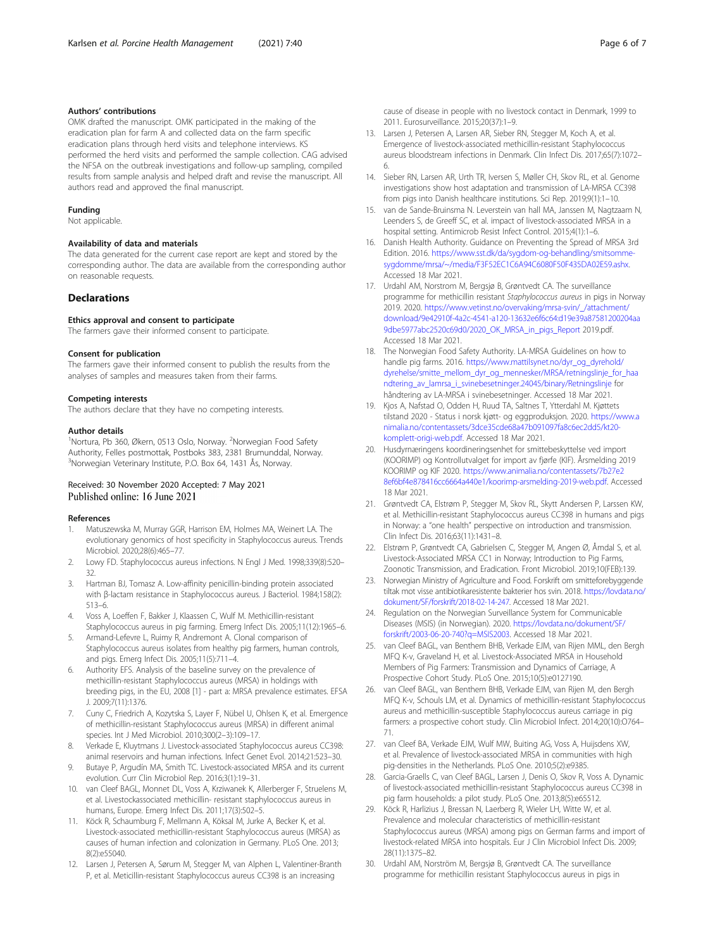#### <span id="page-5-0"></span>Authors' contributions

OMK drafted the manuscript. OMK participated in the making of the eradication plan for farm A and collected data on the farm specific eradication plans through herd visits and telephone interviews. KS performed the herd visits and performed the sample collection. CAG advised the NFSA on the outbreak investigations and follow-up sampling, compiled results from sample analysis and helped draft and revise the manuscript. All authors read and approved the final manuscript.

#### Funding

Not applicable.

#### Availability of data and materials

The data generated for the current case report are kept and stored by the corresponding author. The data are available from the corresponding author on reasonable requests.

#### **Declarations**

#### Ethics approval and consent to participate

The farmers gave their informed consent to participate.

#### Consent for publication

The farmers gave their informed consent to publish the results from the analyses of samples and measures taken from their farms.

#### Competing interests

The authors declare that they have no competing interests.

#### Author details

<sup>1</sup>Nortura, Pb 360, Økern, 0513 Oslo, Norway. <sup>2</sup>Norwegian Food Safety Authority, Felles postmottak, Postboks 383, 2381 Brumunddal, Norway. 3 Norwegian Veterinary Institute, P.O. Box 64, 1431 Ås, Norway.

#### Received: 30 November 2020 Accepted: 7 May 2021 Published online: 16 June 2021

#### References

- 1. Matuszewska M, Murray GGR, Harrison EM, Holmes MA, Weinert LA. The evolutionary genomics of host specificity in Staphylococcus aureus. Trends Microbiol. 2020;28(6):465–77.
- 2. Lowy FD. Staphylococcus aureus infections. N Engl J Med. 1998;339(8):520– 32.
- 3. Hartman BJ, Tomasz A. Low-affinity penicillin-binding protein associated with β-lactam resistance in Staphylococcus aureus. J Bacteriol. 1984;158(2): 513–6.
- 4. Voss A, Loeffen F, Bakker J, Klaassen C, Wulf M. Methicillin-resistant Staphylococcus aureus in pig farming. Emerg Infect Dis. 2005;11(12):1965–6.
- 5. Armand-Lefevre L, Ruimy R, Andremont A. Clonal comparison of Staphylococcus aureus isolates from healthy pig farmers, human controls, and pigs. Emerg Infect Dis. 2005;11(5):711–4.
- 6. Authority EFS. Analysis of the baseline survey on the prevalence of methicillin-resistant Staphylococcus aureus (MRSA) in holdings with breeding pigs, in the EU, 2008 [1] - part a: MRSA prevalence estimates. EFSA J. 2009;7(11):1376.
- 7. Cuny C, Friedrich A, Kozytska S, Layer F, Nübel U, Ohlsen K, et al. Emergence of methicillin-resistant Staphylococcus aureus (MRSA) in different animal species. Int J Med Microbiol. 2010;300(2–3):109–17.
- 8. Verkade E, Kluytmans J. Livestock-associated Staphylococcus aureus CC398: animal reservoirs and human infections. Infect Genet Evol. 2014;21:523–30.
- Butaye P, Argudín MA, Smith TC. Livestock-associated MRSA and its current evolution. Curr Clin Microbiol Rep. 2016;3(1):19–31.
- 10. van Cleef BAGL, Monnet DL, Voss A, Krziwanek K, Allerberger F, Struelens M, et al. Livestockassociated methicillin- resistant staphylococcus aureus in humans, Europe. Emerg Infect Dis. 2011;17(3):502–5.
- 11. Köck R, Schaumburg F, Mellmann A, Köksal M, Jurke A, Becker K, et al. Livestock-associated methicillin-resistant Staphylococcus aureus (MRSA) as causes of human infection and colonization in Germany. PLoS One. 2013; 8(2):e55040.
- 12. Larsen J, Petersen A, Sørum M, Stegger M, van Alphen L, Valentiner-Branth P, et al. Meticillin-resistant Staphylococcus aureus CC398 is an increasing

cause of disease in people with no livestock contact in Denmark, 1999 to 2011. Eurosurveillance. 2015;20(37):1–9.

- 13. Larsen J, Petersen A, Larsen AR, Sieber RN, Stegger M, Koch A, et al. Emergence of livestock-associated methicillin-resistant Staphylococcus aureus bloodstream infections in Denmark. Clin Infect Dis. 2017;65(7):1072– 6.
- 14. Sieber RN, Larsen AR, Urth TR, Iversen S, Møller CH, Skov RL, et al. Genome investigations show host adaptation and transmission of LA-MRSA CC398 from pigs into Danish healthcare institutions. Sci Rep. 2019;9(1):1–10.
- 15. van de Sande-Bruinsma N. Leverstein van hall MA, Janssen M, Nagtzaam N, Leenders S, de Greeff SC, et al. impact of livestock-associated MRSA in a hospital setting. Antimicrob Resist Infect Control. 2015;4(1):1–6.
- 16. Danish Health Authority. Guidance on Preventing the Spread of MRSA 3rd Edition. 2016. [https://www.sst.dk/da/sygdom-og-behandling/smitsomme](https://www.sst.dk/da/sygdom-og-behandling/smitsomme-sygdomme/mrsa/~/media/F3F52EC1C6A94C6080F50F435DA02E59.ashx)[sygdomme/mrsa/~/media/F3F52EC1C6A94C6080F50F435DA02E59.ashx.](https://www.sst.dk/da/sygdom-og-behandling/smitsomme-sygdomme/mrsa/~/media/F3F52EC1C6A94C6080F50F435DA02E59.ashx) Accessed 18 Mar 2021.
- 17. Urdahl AM, Norstrom M, Bergsjø B, Grøntvedt CA. The surveillance programme for methicillin resistant Staphylococcus aureus in pigs in Norway 2019. 2020. [https://www.vetinst.no/overvaking/mrsa-svin/\\_/attachment/](https://www.vetinst.no/overvaking/mrsa-svin/_/attachment/download/9e42910f-4a2c-4541-a120-13632e6f6c64:d19e39a87581200204aa9dbe5977abc2520c69d0/2020_OK_MRSA_in_pigs_Report) [download/9e42910f-4a2c-4541-a120-13632e6f6c64:d19e39a87581200204aa](https://www.vetinst.no/overvaking/mrsa-svin/_/attachment/download/9e42910f-4a2c-4541-a120-13632e6f6c64:d19e39a87581200204aa9dbe5977abc2520c69d0/2020_OK_MRSA_in_pigs_Report) [9dbe5977abc2520c69d0/2020\\_OK\\_MRSA\\_in\\_pigs\\_Report](https://www.vetinst.no/overvaking/mrsa-svin/_/attachment/download/9e42910f-4a2c-4541-a120-13632e6f6c64:d19e39a87581200204aa9dbe5977abc2520c69d0/2020_OK_MRSA_in_pigs_Report) 2019.pdf. Accessed 18 Mar 2021.
- 18. The Norwegian Food Safety Authority. LA-MRSA Guidelines on how to handle pig farms. 2016. [https://www.mattilsynet.no/dyr\\_og\\_dyrehold/](https://www.mattilsynet.no/dyr_og_dyrehold/dyrehelse/smitte_mellom_dyr_og_mennesker/MRSA/retningslinje_for_haandtering_av_lamrsa_i_svinebesetninger.24045/binary/Retningslinje) [dyrehelse/smitte\\_mellom\\_dyr\\_og\\_mennesker/MRSA/retningslinje\\_for\\_haa](https://www.mattilsynet.no/dyr_og_dyrehold/dyrehelse/smitte_mellom_dyr_og_mennesker/MRSA/retningslinje_for_haandtering_av_lamrsa_i_svinebesetninger.24045/binary/Retningslinje) [ndtering\\_av\\_lamrsa\\_i\\_svinebesetninger.24045/binary/Retningslinje](https://www.mattilsynet.no/dyr_og_dyrehold/dyrehelse/smitte_mellom_dyr_og_mennesker/MRSA/retningslinje_for_haandtering_av_lamrsa_i_svinebesetninger.24045/binary/Retningslinje) for håndtering av LA-MRSA i svinebesetninger. Accessed 18 Mar 2021.
- 19. Kjos A, Nafstad O, Odden H, Ruud TA, Saltnes T, Ytterdahl M. Kjøttets tilstand 2020 - Status i norsk kjøtt- og eggproduksjon. 2020. [https://www.a](https://www.animalia.no/contentassets/3dce35cde68a47b091097fa8c6ec2dd5/kt20-komplett-origi-web.pdf) [nimalia.no/contentassets/3dce35cde68a47b091097fa8c6ec2dd5/kt20](https://www.animalia.no/contentassets/3dce35cde68a47b091097fa8c6ec2dd5/kt20-komplett-origi-web.pdf) [komplett-origi-web.pdf](https://www.animalia.no/contentassets/3dce35cde68a47b091097fa8c6ec2dd5/kt20-komplett-origi-web.pdf). Accessed 18 Mar 2021.
- 20. Husdyrnæringens koordineringsenhet for smittebeskyttelse ved import (KOORIMP) og Kontrollutvalget for import av fjørfe (KIF). Årsmelding 2019 KOORIMP og KIF 2020. [https://www.animalia.no/contentassets/7b27e2](https://www.animalia.no/contentassets/7b27e28ef6bf4e878416cc6664a440e1/koorimp-arsmelding-2019-web.pdf) [8ef6bf4e878416cc6664a440e1/koorimp-arsmelding-2019-web.pdf.](https://www.animalia.no/contentassets/7b27e28ef6bf4e878416cc6664a440e1/koorimp-arsmelding-2019-web.pdf) Accessed 18 Mar 2021.
- 21. Grøntvedt CA, Elstrøm P, Stegger M, Skov RL, Skytt Andersen P, Larssen KW, et al. Methicillin-resistant Staphylococcus aureus CC398 in humans and pigs in Norway: a "one health" perspective on introduction and transmission. Clin Infect Dis. 2016;63(11):1431–8.
- 22. Elstrøm P, Grøntvedt CA, Gabrielsen C, Stegger M, Angen Ø, Åmdal S, et al. Livestock-Associated MRSA CC1 in Norway; Introduction to Pig Farms, Zoonotic Transmission, and Eradication. Front Microbiol. 2019;10(FEB):139.
- 23. Norwegian Ministry of Agriculture and Food. Forskrift om smitteforebyggende tiltak mot visse antibiotikaresistente bakterier hos svin. 2018. [https://lovdata.no/](https://lovdata.no/dokument/SF/forskrift/2018-02-14-247) [dokument/SF/forskrift/2018-02-14-247](https://lovdata.no/dokument/SF/forskrift/2018-02-14-247). Accessed 18 Mar 2021.
- 24. Regulation on the Norwegian Surveillance System for Communicable Diseases (MSIS) (in Norwegian). 2020. [https://lovdata.no/dokument/SF/](https://lovdata.no/dokument/SF/forskrift/2003-06-20-740?q=MSIS2003) [forskrift/2003-06-20-740?q=MSIS2003.](https://lovdata.no/dokument/SF/forskrift/2003-06-20-740?q=MSIS2003) Accessed 18 Mar 2021.
- 25. van Cleef BAGL, van Benthem BHB, Verkade EJM, van Rijen MML, den Bergh MFQ K-v, Graveland H, et al. Livestock-Associated MRSA in Household Members of Pig Farmers: Transmission and Dynamics of Carriage, A Prospective Cohort Study. PLoS One. 2015;10(5):e0127190.
- 26. van Cleef BAGL, van Benthem BHB, Verkade EJM, van Rijen M, den Bergh MFQ K-v, Schouls LM, et al. Dynamics of methicillin-resistant Staphylococcus aureus and methicillin-susceptible Staphylococcus aureus carriage in pig farmers: a prospective cohort study. Clin Microbiol Infect. 2014;20(10):O764– 71.
- 27. van Cleef BA, Verkade EJM, Wulf MW, Buiting AG, Voss A, Huijsdens XW, et al. Prevalence of livestock-associated MRSA in communities with high pig-densities in the Netherlands. PLoS One. 2010;5(2):e9385.
- 28. Garcia-Graells C, van Cleef BAGL, Larsen J, Denis O, Skov R, Voss A. Dynamic of livestock-associated methicillin-resistant Staphylococcus aureus CC398 in pig farm households: a pilot study. PLoS One. 2013;8(5):e65512.
- 29. Köck R, Harlizius J, Bressan N, Laerberg R, Wieler LH, Witte W, et al. Prevalence and molecular characteristics of methicillin-resistant Staphylococcus aureus (MRSA) among pigs on German farms and import of livestock-related MRSA into hospitals. Eur J Clin Microbiol Infect Dis. 2009; 28(11):1375–82.
- 30. Urdahl AM, Norström M, Bergsjø B, Grøntvedt CA. The surveillance programme for methicillin resistant Staphylococcus aureus in pigs in